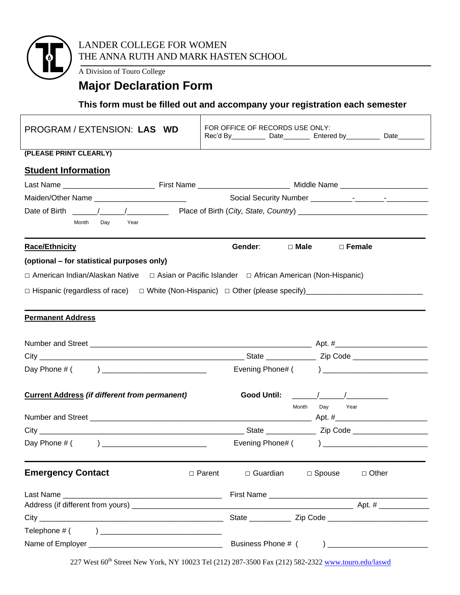

A Division of Touro College

## **Major Declaration Form**

## **This form must be filled out and accompany your registration each semester**

| PROGRAM / EXTENSION: LAS WD                                                                    | FOR OFFICE OF RECORDS USE ONLY:<br>Rec'd By ________________ Date_____________ Entered by _______________ Date__________ |  |  |  |  |
|------------------------------------------------------------------------------------------------|--------------------------------------------------------------------------------------------------------------------------|--|--|--|--|
| (PLEASE PRINT CLEARLY)                                                                         |                                                                                                                          |  |  |  |  |
| <b>Student Information</b>                                                                     |                                                                                                                          |  |  |  |  |
|                                                                                                |                                                                                                                          |  |  |  |  |
|                                                                                                | Maiden/Other Name ___________________________                                                                            |  |  |  |  |
|                                                                                                |                                                                                                                          |  |  |  |  |
| Month<br>Day<br>Year                                                                           |                                                                                                                          |  |  |  |  |
| <b>Race/Ethnicity</b>                                                                          | Gender:<br>$\Box$ Male<br>$\Box$ Female                                                                                  |  |  |  |  |
| (optional – for statistical purposes only)                                                     |                                                                                                                          |  |  |  |  |
| □ American Indian/Alaskan Native □ Asian or Pacific Islander □ African American (Non-Hispanic) |                                                                                                                          |  |  |  |  |
|                                                                                                | □ Hispanic (regardless of race) □ White (Non-Hispanic) □ Other (please specify) ______________________________           |  |  |  |  |
|                                                                                                |                                                                                                                          |  |  |  |  |
| <b>Permanent Address</b>                                                                       |                                                                                                                          |  |  |  |  |
|                                                                                                |                                                                                                                          |  |  |  |  |
|                                                                                                |                                                                                                                          |  |  |  |  |
|                                                                                                |                                                                                                                          |  |  |  |  |
|                                                                                                |                                                                                                                          |  |  |  |  |
| <b>Current Address (if different from permanent)</b>                                           |                                                                                                                          |  |  |  |  |
|                                                                                                | Day Year<br>Month                                                                                                        |  |  |  |  |
|                                                                                                |                                                                                                                          |  |  |  |  |
|                                                                                                |                                                                                                                          |  |  |  |  |
| Day Phone # (<br><u>) _________________________________</u>                                    |                                                                                                                          |  |  |  |  |
| <b>Emergency Contact</b>                                                                       | $\Box$ Other<br>$\Box$ Parent<br>$\Box$ Guardian<br>$\Box$ Spouse                                                        |  |  |  |  |
|                                                                                                |                                                                                                                          |  |  |  |  |
|                                                                                                |                                                                                                                          |  |  |  |  |
|                                                                                                |                                                                                                                          |  |  |  |  |
|                                                                                                |                                                                                                                          |  |  |  |  |
|                                                                                                |                                                                                                                          |  |  |  |  |

227 West 60<sup>th</sup> Street New York, NY 10023 Tel (212) 287-3500 Fax (212) 582-2322 www.touro.edu/laswd